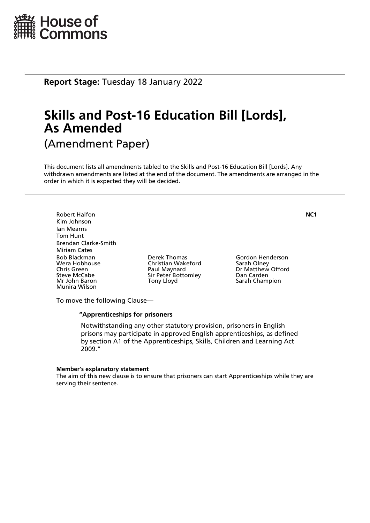

**Report Stage:** Tuesday 18 January 2022

# **Skills and Post-16 Education Bill [Lords], As Amended** (Amendment Paper)

This document lists all amendments tabled to the Skills and Post-16 Education Bill [Lords]. Any withdrawn amendments are listed at the end of the document. The amendments are arranged in the order in which it is expected they will be decided.

Robert Halfon **NC1** Kim Johnson Ian Mearns Tom Hunt Brendan Clarke-Smith Miriam Cates Bob Blackman Derek Thomas Gordon Henderson Chris Green **Paul Maynard** Dr Matthew Offord<br>
Sir Peter Bottomley Dan Carden<br>
Dan Carden Steve McCabe Sir Peter Bottomley<br>
Mr John Baron Sir Pony Lloyd Munira Wilson

Christian Wakeford<br>Paul Maynard

Sarah Champion

To move the following Clause—

#### **"Apprenticeships for prisoners**

 Notwithstanding any other statutory provision, prisoners in English prisons may participate in approved English apprenticeships, as defined by section A1 of the Apprenticeships, Skills, Children and Learning Act 2009."

#### **Member's explanatory statement**

The aim of this new clause is to ensure that prisoners can start Apprenticeships while they are serving their sentence.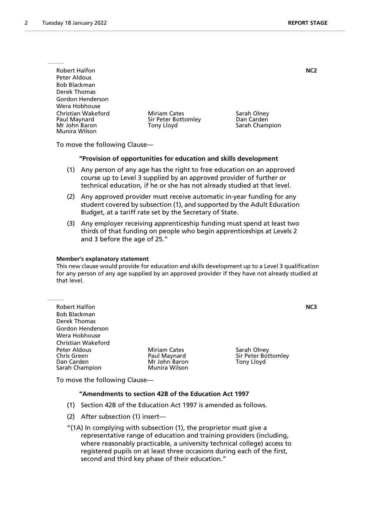| <b>Robert Halfon</b>                                                 |                                                   | NC2                                         |  |
|----------------------------------------------------------------------|---------------------------------------------------|---------------------------------------------|--|
| Peter Aldous                                                         |                                                   |                                             |  |
| <b>Bob Blackman</b>                                                  |                                                   |                                             |  |
| Derek Thomas                                                         |                                                   |                                             |  |
| Gordon Henderson                                                     |                                                   |                                             |  |
| Wera Hobhouse                                                        |                                                   |                                             |  |
| Christian Wakeford<br>Paul Maynard<br>Mr John Baron<br>Munira Wilson | Miriam Cates<br>Sir Peter Bottomley<br>Tony Lloyd | Sarah Olney<br>Dan Carden<br>Sarah Champion |  |

To move the following Clause—

#### **"Provision of opportunities for education and skills development**

- (1) Any person of any age has the right to free education on an approved course up to Level 3 supplied by an approved provider of further or technical education, if he or she has not already studied at that level.
- (2) Any approved provider must receive automatic in-year funding for any student covered by subsection (1), and supported by the Adult Education Budget, at a tariff rate set by the Secretary of State.
- (3) Any employer receiving apprenticeship funding must spend at least two thirds of that funding on people who begin apprenticeships at Levels 2 and 3 before the age of 25."

#### **Member's explanatory statement**

This new clause would provide for education and skills development up to a Level 3 qualification for any person of any age supplied by an approved provider if they have not already studied at that level.

| <b>Robert Halfon</b><br><b>Bob Blackman</b><br>Derek Thomas |                                                      |                                                  | NC3 |
|-------------------------------------------------------------|------------------------------------------------------|--------------------------------------------------|-----|
| Gordon Henderson                                            |                                                      |                                                  |     |
| Wera Hobhouse                                               |                                                      |                                                  |     |
| <b>Christian Wakeford</b>                                   |                                                      |                                                  |     |
| Peter Aldous<br><b>Chris Green</b><br>Dan Carden            | <b>Miriam Cates</b><br>Paul Maynard<br>Mr John Baron | Sarah Olney<br>Sir Peter Bottomley<br>Tony Lloyd |     |
| Sarah Champion                                              | Munira Wilson                                        |                                                  |     |

To move the following Clause—

# **"Amendments to section 42B of the Education Act 1997**

- (1) Section 42B of the Education Act 1997 is amended as follows.
- (2) After subsection (1) insert—

"(1A) In complying with subsection (1), the proprietor must give a representative range of education and training providers (including, where reasonably practicable, a university technical college) access to registered pupils on at least three occasions during each of the first, second and third key phase of their education."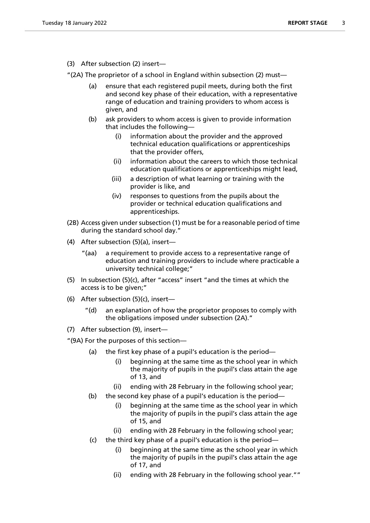(3) After subsection (2) insert—

"(2A) The proprietor of a school in England within subsection (2) must—

- (a) ensure that each registered pupil meets, during both the first and second key phase of their education, with a representative range of education and training providers to whom access is given, and
- (b) ask providers to whom access is given to provide information that includes the following—
	- (i) information about the provider and the approved technical education qualifications or apprenticeships that the provider offers,
	- (ii) information about the careers to which those technical education qualifications or apprenticeships might lead,
	- (iii) a description of what learning or training with the provider is like, and
	- (iv) responses to questions from the pupils about the provider or technical education qualifications and apprenticeships.
- (2B) Access given under subsection (1) must be for a reasonable period of time during the standard school day."
- (4) After subsection (5)(a), insert—
	- "(aa) a requirement to provide access to a representative range of education and training providers to include where practicable a university technical college;"
- (5) In subsection (5)(c), after "access" insert "and the times at which the access is to be given;"
- (6) After subsection (5)(c), insert
	- an explanation of how the proprietor proposes to comply with the obligations imposed under subsection (2A)."
- (7) After subsection (9), insert—

"(9A) For the purposes of this section—

- (a) the first key phase of a pupil's education is the period—
	- (i) beginning at the same time as the school year in which the majority of pupils in the pupil's class attain the age of 13, and
	- (ii) ending with 28 February in the following school year;
- (b) the second key phase of a pupil's education is the period—
	- (i) beginning at the same time as the school year in which the majority of pupils in the pupil's class attain the age of 15, and
	- (ii) ending with 28 February in the following school year;
- (c) the third key phase of a pupil's education is the period
	- beginning at the same time as the school year in which the majority of pupils in the pupil's class attain the age of 17, and
	- (ii) ending with 28 February in the following school year.""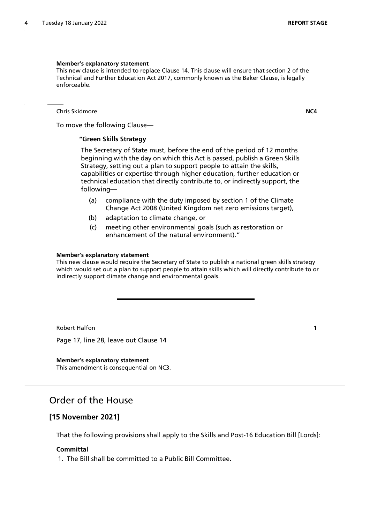#### **Member's explanatory statement**

This new clause is intended to replace Clause 14. This clause will ensure that section 2 of the Technical and Further Education Act 2017, commonly known as the Baker Clause, is legally enforceable.

Chris Skidmore **NC4**

To move the following Clause—

### **"Green Skills Strategy**

 The Secretary of State must, before the end of the period of 12 months beginning with the day on which this Act is passed, publish a Green Skills Strategy, setting out a plan to support people to attain the skills, capabilities or expertise through higher education, further education or technical education that directly contribute to, or indirectly support, the following—

- (a) compliance with the duty imposed by section 1 of the Climate Change Act 2008 (United Kingdom net zero emissions target),
- (b) adaptation to climate change, or
- (c) meeting other environmental goals (such as restoration or enhancement of the natural environment)."

#### **Member's explanatory statement**

This new clause would require the Secretary of State to publish a national green skills strategy which would set out a plan to support people to attain skills which will directly contribute to or indirectly support climate change and environmental goals.

Robert Halfon **1**

Page 17, line 28, leave out Clause 14

**Member's explanatory statement** This amendment is consequential on NC3.

# Order of the House

# **[15 November 2021]**

That the following provisions shall apply to the Skills and Post-16 Education Bill [Lords]:

#### **Committal**

1. The Bill shall be committed to a Public Bill Committee.